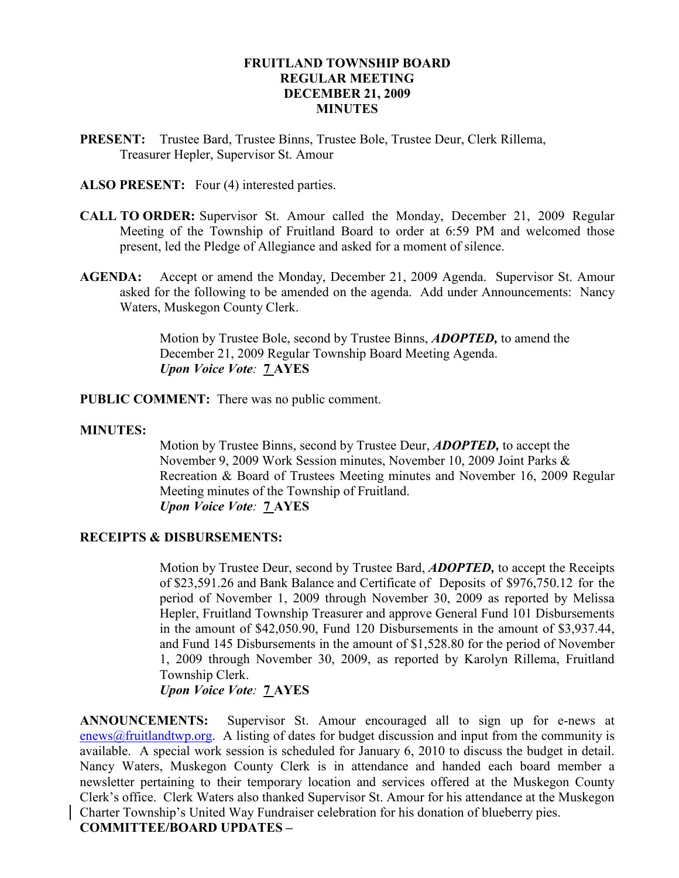#### FRUITLAND TOWNSHIP BOARD REGULAR MEETING DECEMBER 21, 2009 **MINUTES**

PRESENT: Trustee Bard, Trustee Binns, Trustee Bole, Trustee Deur, Clerk Rillema, Treasurer Hepler, Supervisor St. Amour

ALSO PRESENT: Four (4) interested parties.

- CALL TO ORDER: Supervisor St. Amour called the Monday, December 21, 2009 Regular Meeting of the Township of Fruitland Board to order at 6:59 PM and welcomed those present, led the Pledge of Allegiance and asked for a moment of silence.
- AGENDA: Accept or amend the Monday, December 21, 2009 Agenda. Supervisor St. Amour asked for the following to be amended on the agenda. Add under Announcements: Nancy Waters, Muskegon County Clerk.

Motion by Trustee Bole, second by Trustee Binns, **ADOPTED**, to amend the December 21, 2009 Regular Township Board Meeting Agenda. Upon Voice Vote: 7 AYES

PUBLIC COMMENT: There was no public comment.

#### MINUTES:

Motion by Trustee Binns, second by Trustee Deur, **ADOPTED**, to accept the November 9, 2009 Work Session minutes, November 10, 2009 Joint Parks & Recreation & Board of Trustees Meeting minutes and November 16, 2009 Regular Meeting minutes of the Township of Fruitland. Upon Voice Vote: 7 AYES

#### RECEIPTS & DISBURSEMENTS:

Motion by Trustee Deur, second by Trustee Bard, **ADOPTED**, to accept the Receipts of \$23,591.26 and Bank Balance and Certificate of Deposits of \$976,750.12 for the period of November 1, 2009 through November 30, 2009 as reported by Melissa Hepler, Fruitland Township Treasurer and approve General Fund 101 Disbursements in the amount of \$42,050.90, Fund 120 Disbursements in the amount of \$3,937.44, and Fund 145 Disbursements in the amount of \$1,528.80 for the period of November 1, 2009 through November 30, 2009, as reported by Karolyn Rillema, Fruitland Township Clerk.

Upon Voice Vote: 7 AYES

ANNOUNCEMENTS: Supervisor St. Amour encouraged all to sign up for e-news at enews@fruitlandtwp.org. A listing of dates for budget discussion and input from the community is available. A special work session is scheduled for January 6, 2010 to discuss the budget in detail. Nancy Waters, Muskegon County Clerk is in attendance and handed each board member a newsletter pertaining to their temporary location and services offered at the Muskegon County Clerk's office. Clerk Waters also thanked Supervisor St. Amour for his attendance at the Muskegon Charter Township's United Way Fundraiser celebration for his donation of blueberry pies. COMMITTEE/BOARD UPDATES –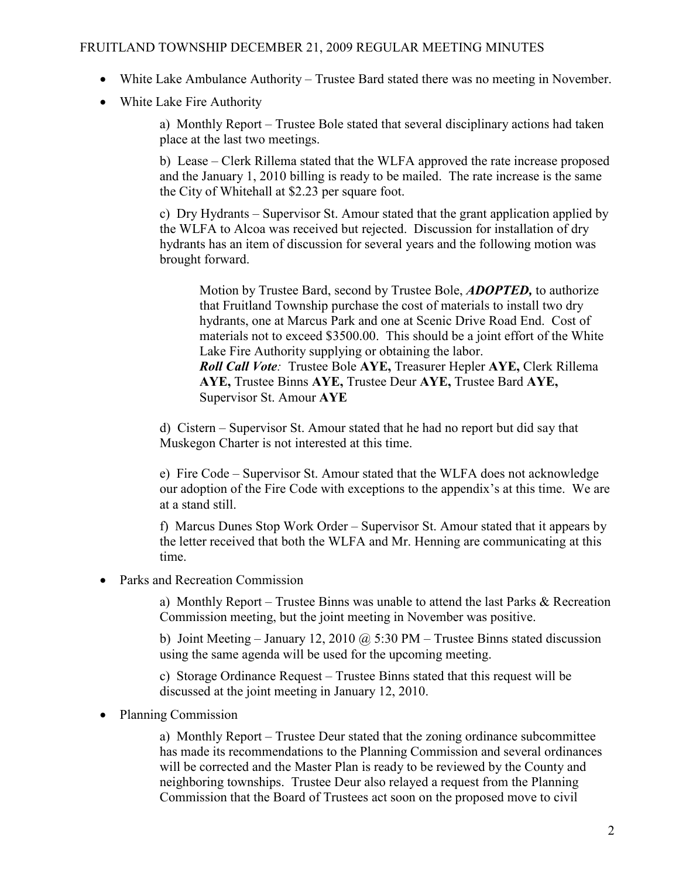### FRUITLAND TOWNSHIP DECEMBER 21, 2009 REGULAR MEETING MINUTES

- White Lake Ambulance Authority Trustee Bard stated there was no meeting in November.
- White Lake Fire Authority

 a) Monthly Report – Trustee Bole stated that several disciplinary actions had taken place at the last two meetings.

 b) Lease – Clerk Rillema stated that the WLFA approved the rate increase proposed and the January 1, 2010 billing is ready to be mailed. The rate increase is the same the City of Whitehall at \$2.23 per square foot.

 c) Dry Hydrants – Supervisor St. Amour stated that the grant application applied by the WLFA to Alcoa was received but rejected. Discussion for installation of dry hydrants has an item of discussion for several years and the following motion was brought forward.

Motion by Trustee Bard, second by Trustee Bole, **ADOPTED**, to authorize that Fruitland Township purchase the cost of materials to install two dry hydrants, one at Marcus Park and one at Scenic Drive Road End. Cost of materials not to exceed \$3500.00. This should be a joint effort of the White Lake Fire Authority supplying or obtaining the labor. Roll Call Vote: Trustee Bole AYE, Treasurer Hepler AYE, Clerk Rillema AYE, Trustee Binns AYE, Trustee Deur AYE, Trustee Bard AYE, Supervisor St. Amour AYE

 d) Cistern – Supervisor St. Amour stated that he had no report but did say that Muskegon Charter is not interested at this time.

 e) Fire Code – Supervisor St. Amour stated that the WLFA does not acknowledge our adoption of the Fire Code with exceptions to the appendix's at this time. We are at a stand still.

 f) Marcus Dunes Stop Work Order – Supervisor St. Amour stated that it appears by the letter received that both the WLFA and Mr. Henning are communicating at this time.

• Parks and Recreation Commission

 a) Monthly Report – Trustee Binns was unable to attend the last Parks & Recreation Commission meeting, but the joint meeting in November was positive.

b) Joint Meeting – January 12, 2010  $\omega$  5:30 PM – Trustee Binns stated discussion using the same agenda will be used for the upcoming meeting.

 c) Storage Ordinance Request – Trustee Binns stated that this request will be discussed at the joint meeting in January 12, 2010.

• Planning Commission

 a) Monthly Report – Trustee Deur stated that the zoning ordinance subcommittee has made its recommendations to the Planning Commission and several ordinances will be corrected and the Master Plan is ready to be reviewed by the County and neighboring townships. Trustee Deur also relayed a request from the Planning Commission that the Board of Trustees act soon on the proposed move to civil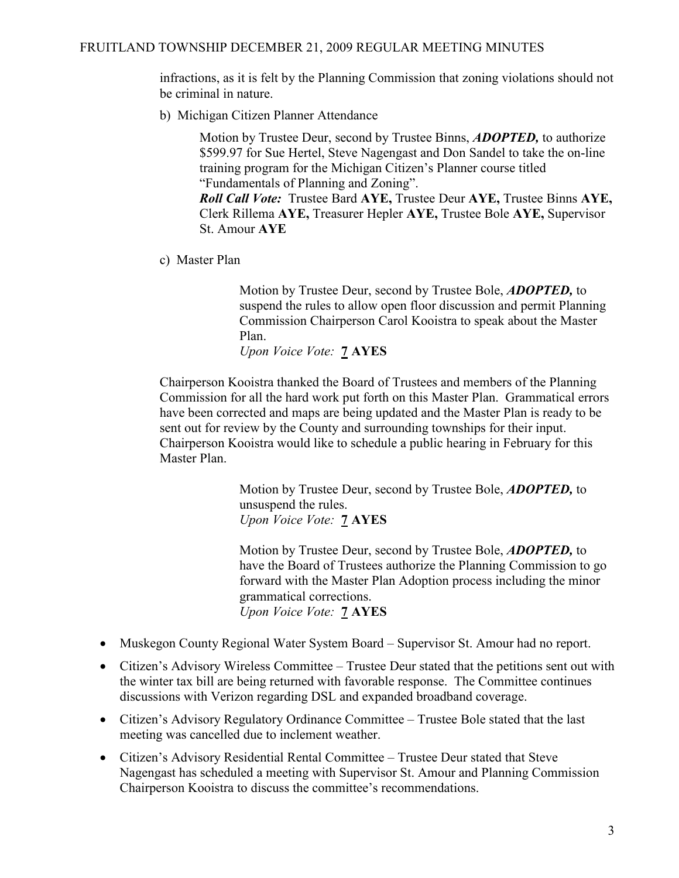infractions, as it is felt by the Planning Commission that zoning violations should not be criminal in nature.

b) Michigan Citizen Planner Attendance

Motion by Trustee Deur, second by Trustee Binns, **ADOPTED**, to authorize \$599.97 for Sue Hertel, Steve Nagengast and Don Sandel to take the on-line training program for the Michigan Citizen's Planner course titled "Fundamentals of Planning and Zoning".

 Roll Call Vote: Trustee Bard AYE, Trustee Deur AYE, Trustee Binns AYE, Clerk Rillema AYE, Treasurer Hepler AYE, Trustee Bole AYE, Supervisor St. Amour AYE

c) Master Plan

Motion by Trustee Deur, second by Trustee Bole, **ADOPTED**, to suspend the rules to allow open floor discussion and permit Planning Commission Chairperson Carol Kooistra to speak about the Master Plan.

Upon Voice Vote: **7 AYES** 

 Chairperson Kooistra thanked the Board of Trustees and members of the Planning Commission for all the hard work put forth on this Master Plan. Grammatical errors have been corrected and maps are being updated and the Master Plan is ready to be sent out for review by the County and surrounding townships for their input. Chairperson Kooistra would like to schedule a public hearing in February for this Master Plan.

> Motion by Trustee Deur, second by Trustee Bole, **ADOPTED**, to unsuspend the rules. Upon Voice Vote: 7 AYES

Motion by Trustee Deur, second by Trustee Bole, **ADOPTED**, to have the Board of Trustees authorize the Planning Commission to go forward with the Master Plan Adoption process including the minor grammatical corrections. Upon Voice Vote: 7 AYES

- Muskegon County Regional Water System Board Supervisor St. Amour had no report.
- Citizen's Advisory Wireless Committee Trustee Deur stated that the petitions sent out with the winter tax bill are being returned with favorable response. The Committee continues discussions with Verizon regarding DSL and expanded broadband coverage.
- Citizen's Advisory Regulatory Ordinance Committee Trustee Bole stated that the last meeting was cancelled due to inclement weather.
- Citizen's Advisory Residential Rental Committee Trustee Deur stated that Steve Nagengast has scheduled a meeting with Supervisor St. Amour and Planning Commission Chairperson Kooistra to discuss the committee's recommendations.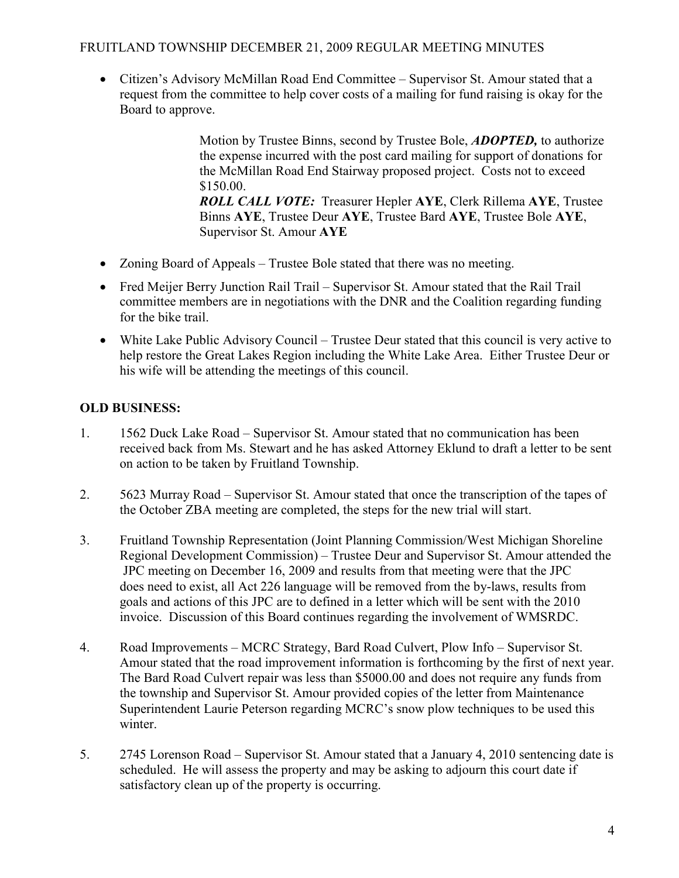## FRUITLAND TOWNSHIP DECEMBER 21, 2009 REGULAR MEETING MINUTES

• Citizen's Advisory McMillan Road End Committee – Supervisor St. Amour stated that a request from the committee to help cover costs of a mailing for fund raising is okay for the Board to approve.

> Motion by Trustee Binns, second by Trustee Bole, **ADOPTED**, to authorize the expense incurred with the post card mailing for support of donations for the McMillan Road End Stairway proposed project. Costs not to exceed \$150.00. ROLL CALL VOTE: Treasurer Hepler AYE, Clerk Rillema AYE, Trustee Binns AYE, Trustee Deur AYE, Trustee Bard AYE, Trustee Bole AYE, Supervisor St. Amour AYE

- Zoning Board of Appeals Trustee Bole stated that there was no meeting.
- Fred Meijer Berry Junction Rail Trail Supervisor St. Amour stated that the Rail Trail committee members are in negotiations with the DNR and the Coalition regarding funding for the bike trail.
- White Lake Public Advisory Council Trustee Deur stated that this council is very active to help restore the Great Lakes Region including the White Lake Area. Either Trustee Deur or his wife will be attending the meetings of this council.

## OLD BUSINESS:

- 1. 1562 Duck Lake Road Supervisor St. Amour stated that no communication has been received back from Ms. Stewart and he has asked Attorney Eklund to draft a letter to be sent on action to be taken by Fruitland Township.
- 2. 5623 Murray Road Supervisor St. Amour stated that once the transcription of the tapes of the October ZBA meeting are completed, the steps for the new trial will start.
- 3. Fruitland Township Representation (Joint Planning Commission/West Michigan Shoreline Regional Development Commission) – Trustee Deur and Supervisor St. Amour attended the JPC meeting on December 16, 2009 and results from that meeting were that the JPC does need to exist, all Act 226 language will be removed from the by-laws, results from goals and actions of this JPC are to defined in a letter which will be sent with the 2010 invoice. Discussion of this Board continues regarding the involvement of WMSRDC.
- 4. Road Improvements MCRC Strategy, Bard Road Culvert, Plow Info Supervisor St. Amour stated that the road improvement information is forthcoming by the first of next year. The Bard Road Culvert repair was less than \$5000.00 and does not require any funds from the township and Supervisor St. Amour provided copies of the letter from Maintenance Superintendent Laurie Peterson regarding MCRC's snow plow techniques to be used this winter.
- 5. 2745 Lorenson Road Supervisor St. Amour stated that a January 4, 2010 sentencing date is scheduled. He will assess the property and may be asking to adjourn this court date if satisfactory clean up of the property is occurring.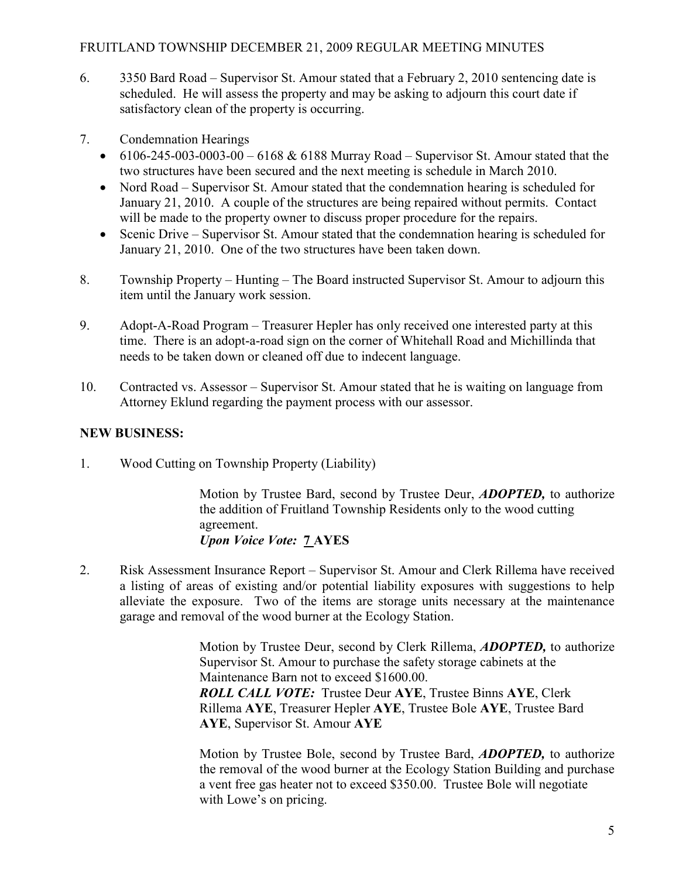### FRUITLAND TOWNSHIP DECEMBER 21, 2009 REGULAR MEETING MINUTES

- 6. 3350 Bard Road Supervisor St. Amour stated that a February 2, 2010 sentencing date is scheduled. He will assess the property and may be asking to adjourn this court date if satisfactory clean of the property is occurring.
- 7. Condemnation Hearings
	- 6106-245-003-0003-00 6168  $&$  6188 Murray Road Supervisor St. Amour stated that the two structures have been secured and the next meeting is schedule in March 2010.
	- Nord Road Supervisor St. Amour stated that the condemnation hearing is scheduled for January 21, 2010. A couple of the structures are being repaired without permits. Contact will be made to the property owner to discuss proper procedure for the repairs.
	- Scenic Drive Supervisor St. Amour stated that the condemnation hearing is scheduled for January 21, 2010. One of the two structures have been taken down.
- 8. Township Property Hunting The Board instructed Supervisor St. Amour to adjourn this item until the January work session.
- 9. Adopt-A-Road Program Treasurer Hepler has only received one interested party at this time. There is an adopt-a-road sign on the corner of Whitehall Road and Michillinda that needs to be taken down or cleaned off due to indecent language.
- 10. Contracted vs. Assessor Supervisor St. Amour stated that he is waiting on language from Attorney Eklund regarding the payment process with our assessor.

# NEW BUSINESS:

1. Wood Cutting on Township Property (Liability)

Motion by Trustee Bard, second by Trustee Deur, **ADOPTED**, to authorize the addition of Fruitland Township Residents only to the wood cutting agreement. Upon Voice Vote: 7 AYES

2. Risk Assessment Insurance Report – Supervisor St. Amour and Clerk Rillema have received a listing of areas of existing and/or potential liability exposures with suggestions to help alleviate the exposure. Two of the items are storage units necessary at the maintenance garage and removal of the wood burner at the Ecology Station.

> Motion by Trustee Deur, second by Clerk Rillema, **ADOPTED**, to authorize Supervisor St. Amour to purchase the safety storage cabinets at the Maintenance Barn not to exceed \$1600.00. ROLL CALL VOTE: Trustee Deur AYE, Trustee Binns AYE, Clerk Rillema AYE, Treasurer Hepler AYE, Trustee Bole AYE, Trustee Bard AYE, Supervisor St. Amour AYE

> Motion by Trustee Bole, second by Trustee Bard, ADOPTED, to authorize the removal of the wood burner at the Ecology Station Building and purchase a vent free gas heater not to exceed \$350.00. Trustee Bole will negotiate with Lowe's on pricing.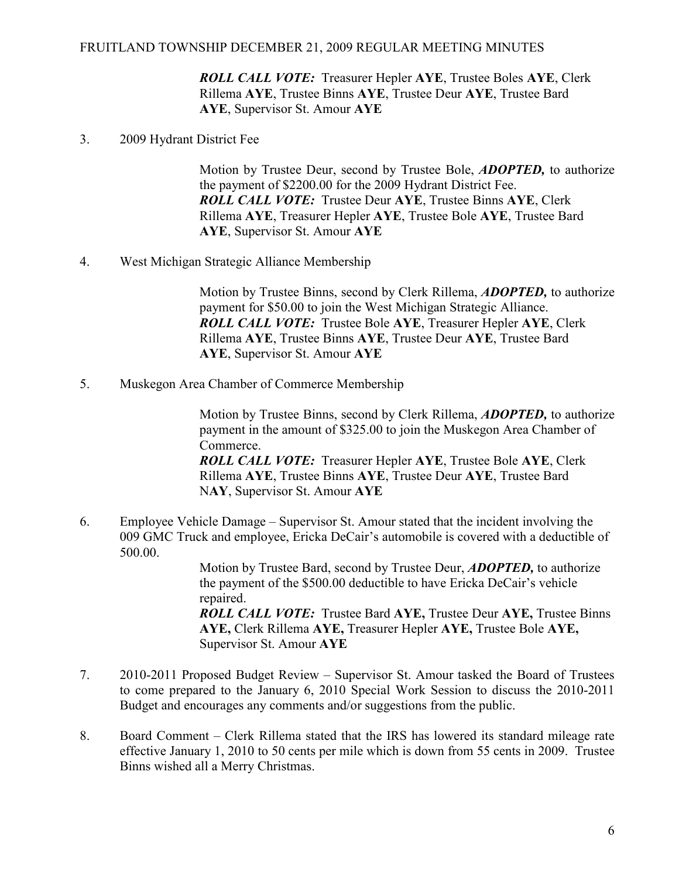ROLL CALL VOTE: Treasurer Hepler AYE, Trustee Boles AYE, Clerk Rillema AYE, Trustee Binns AYE, Trustee Deur AYE, Trustee Bard AYE, Supervisor St. Amour AYE

3. 2009 Hydrant District Fee

Motion by Trustee Deur, second by Trustee Bole, **ADOPTED**, to authorize the payment of \$2200.00 for the 2009 Hydrant District Fee. ROLL CALL VOTE: Trustee Deur AYE, Trustee Binns AYE, Clerk Rillema AYE, Treasurer Hepler AYE, Trustee Bole AYE, Trustee Bard AYE, Supervisor St. Amour AYE

4. West Michigan Strategic Alliance Membership

 Motion by Trustee Binns, second by Clerk Rillema, ADOPTED, to authorize payment for \$50.00 to join the West Michigan Strategic Alliance. ROLL CALL VOTE: Trustee Bole AYE, Treasurer Hepler AYE, Clerk Rillema AYE, Trustee Binns AYE, Trustee Deur AYE, Trustee Bard AYE, Supervisor St. Amour AYE

5. Muskegon Area Chamber of Commerce Membership

 Motion by Trustee Binns, second by Clerk Rillema, ADOPTED, to authorize payment in the amount of \$325.00 to join the Muskegon Area Chamber of Commerce. ROLL CALL VOTE: Treasurer Hepler AYE, Trustee Bole AYE, Clerk Rillema AYE, Trustee Binns AYE, Trustee Deur AYE, Trustee Bard NAY, Supervisor St. Amour AYE

6. Employee Vehicle Damage – Supervisor St. Amour stated that the incident involving the 009 GMC Truck and employee, Ericka DeCair's automobile is covered with a deductible of 500.00.

> Motion by Trustee Bard, second by Trustee Deur, **ADOPTED**, to authorize the payment of the \$500.00 deductible to have Ericka DeCair's vehicle repaired. ROLL CALL VOTE: Trustee Bard AYE, Trustee Deur AYE, Trustee Binns AYE, Clerk Rillema AYE, Treasurer Hepler AYE, Trustee Bole AYE,

7. 2010-2011 Proposed Budget Review – Supervisor St. Amour tasked the Board of Trustees to come prepared to the January 6, 2010 Special Work Session to discuss the 2010-2011 Budget and encourages any comments and/or suggestions from the public.

Supervisor St. Amour AYE

8. Board Comment – Clerk Rillema stated that the IRS has lowered its standard mileage rate effective January 1, 2010 to 50 cents per mile which is down from 55 cents in 2009. Trustee Binns wished all a Merry Christmas.